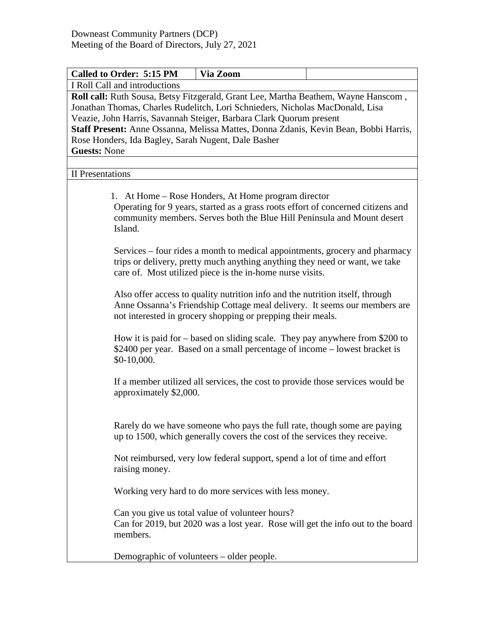| <b>Called to Order: 5:15 PM</b>                                                                                                                                     | Via Zoom                                                                                                                                                                                                                  |  |  |  |
|---------------------------------------------------------------------------------------------------------------------------------------------------------------------|---------------------------------------------------------------------------------------------------------------------------------------------------------------------------------------------------------------------------|--|--|--|
| I Roll Call and introductions                                                                                                                                       |                                                                                                                                                                                                                           |  |  |  |
| Roll call: Ruth Sousa, Betsy Fitzgerald, Grant Lee, Martha Beathem, Wayne Hanscom,<br>Jonathan Thomas, Charles Rudelitch, Lori Schnieders, Nicholas MacDonald, Lisa |                                                                                                                                                                                                                           |  |  |  |
| Veazie, John Harris, Savannah Steiger, Barbara Clark Quorum present                                                                                                 |                                                                                                                                                                                                                           |  |  |  |
| Staff Present: Anne Ossanna, Melissa Mattes, Donna Zdanis, Kevin Bean, Bobbi Harris,                                                                                |                                                                                                                                                                                                                           |  |  |  |
| Rose Honders, Ida Bagley, Sarah Nugent, Dale Basher                                                                                                                 |                                                                                                                                                                                                                           |  |  |  |
| <b>Guests: None</b>                                                                                                                                                 |                                                                                                                                                                                                                           |  |  |  |
| <b>II</b> Presentations                                                                                                                                             |                                                                                                                                                                                                                           |  |  |  |
|                                                                                                                                                                     |                                                                                                                                                                                                                           |  |  |  |
| Island.                                                                                                                                                             | 1. At Home – Rose Honders, At Home program director<br>Operating for 9 years, started as a grass roots effort of concerned citizens and<br>community members. Serves both the Blue Hill Peninsula and Mount desert        |  |  |  |
|                                                                                                                                                                     | Services – four rides a month to medical appointments, grocery and pharmacy<br>trips or delivery, pretty much anything anything they need or want, we take<br>care of. Most utilized piece is the in-home nurse visits.   |  |  |  |
|                                                                                                                                                                     | Also offer access to quality nutrition info and the nutrition itself, through<br>Anne Ossanna's Friendship Cottage meal delivery. It seems our members are<br>not interested in grocery shopping or prepping their meals. |  |  |  |
| $$0-10,000.$                                                                                                                                                        | How it is paid for $-$ based on sliding scale. They pay anywhere from \$200 to<br>\$2400 per year. Based on a small percentage of income – lowest bracket is                                                              |  |  |  |
| approximately \$2,000.                                                                                                                                              | If a member utilized all services, the cost to provide those services would be                                                                                                                                            |  |  |  |
|                                                                                                                                                                     | Rarely do we have someone who pays the full rate, though some are paying<br>up to 1500, which generally covers the cost of the services they receive.                                                                     |  |  |  |
| raising money.                                                                                                                                                      | Not reimbursed, very low federal support, spend a lot of time and effort                                                                                                                                                  |  |  |  |
|                                                                                                                                                                     | Working very hard to do more services with less money.                                                                                                                                                                    |  |  |  |
| members.                                                                                                                                                            | Can you give us total value of volunteer hours?<br>Can for 2019, but 2020 was a lost year. Rose will get the info out to the board                                                                                        |  |  |  |
| Demographic of volunteers – older people.                                                                                                                           |                                                                                                                                                                                                                           |  |  |  |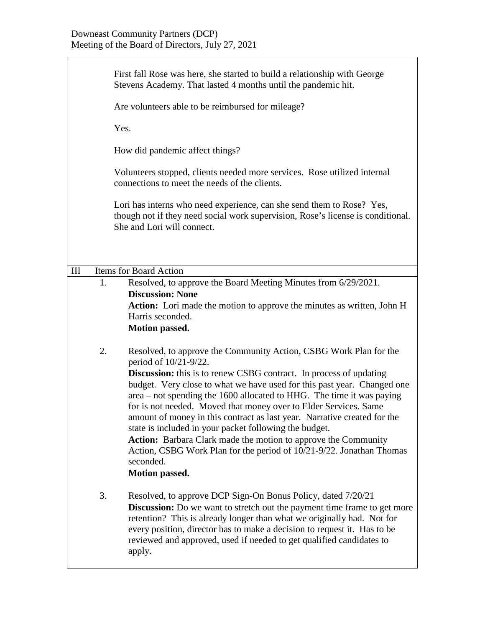Ť

|                    |                                                                                                                                                                                        | First fall Rose was here, she started to build a relationship with George<br>Stevens Academy. That lasted 4 months until the pandemic hit.<br>Are volunteers able to be reimbursed for mileage?                                                                                                                                                                                                                                                                                                                                                                                                                                                                                                                |  |  |
|--------------------|----------------------------------------------------------------------------------------------------------------------------------------------------------------------------------------|----------------------------------------------------------------------------------------------------------------------------------------------------------------------------------------------------------------------------------------------------------------------------------------------------------------------------------------------------------------------------------------------------------------------------------------------------------------------------------------------------------------------------------------------------------------------------------------------------------------------------------------------------------------------------------------------------------------|--|--|
|                    |                                                                                                                                                                                        | Yes.                                                                                                                                                                                                                                                                                                                                                                                                                                                                                                                                                                                                                                                                                                           |  |  |
|                    |                                                                                                                                                                                        | How did pandemic affect things?                                                                                                                                                                                                                                                                                                                                                                                                                                                                                                                                                                                                                                                                                |  |  |
|                    |                                                                                                                                                                                        | Volunteers stopped, clients needed more services. Rose utilized internal<br>connections to meet the needs of the clients.                                                                                                                                                                                                                                                                                                                                                                                                                                                                                                                                                                                      |  |  |
|                    | Lori has interns who need experience, can she send them to Rose? Yes,<br>though not if they need social work supervision, Rose's license is conditional.<br>She and Lori will connect. |                                                                                                                                                                                                                                                                                                                                                                                                                                                                                                                                                                                                                                                                                                                |  |  |
| $\mathop{\rm III}$ |                                                                                                                                                                                        | Items for Board Action                                                                                                                                                                                                                                                                                                                                                                                                                                                                                                                                                                                                                                                                                         |  |  |
|                    | 1.                                                                                                                                                                                     | Resolved, to approve the Board Meeting Minutes from 6/29/2021.<br><b>Discussion: None</b><br><b>Action:</b> Lori made the motion to approve the minutes as written, John H<br>Harris seconded.<br><b>Motion passed.</b>                                                                                                                                                                                                                                                                                                                                                                                                                                                                                        |  |  |
|                    | 2.                                                                                                                                                                                     | Resolved, to approve the Community Action, CSBG Work Plan for the<br>period of 10/21-9/22.<br>Discussion: this is to renew CSBG contract. In process of updating<br>budget. Very close to what we have used for this past year. Changed one<br>area – not spending the 1600 allocated to HHG. The time it was paying<br>for is not needed. Moved that money over to Elder Services. Same<br>amount of money in this contract as last year. Narrative created for the<br>state is included in your packet following the budget.<br><b>Action:</b> Barbara Clark made the motion to approve the Community<br>Action, CSBG Work Plan for the period of 10/21-9/22. Jonathan Thomas<br>seconded.<br>Motion passed. |  |  |
|                    | 3.                                                                                                                                                                                     | Resolved, to approve DCP Sign-On Bonus Policy, dated 7/20/21<br><b>Discussion:</b> Do we want to stretch out the payment time frame to get more<br>retention? This is already longer than what we originally had. Not for<br>every position, director has to make a decision to request it. Has to be<br>reviewed and approved, used if needed to get qualified candidates to<br>apply.                                                                                                                                                                                                                                                                                                                        |  |  |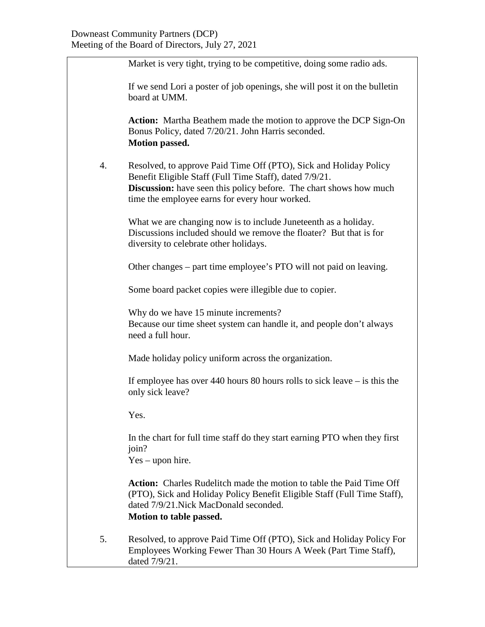|    | Market is very tight, trying to be competitive, doing some radio ads.                                                                                                                                                                                       |
|----|-------------------------------------------------------------------------------------------------------------------------------------------------------------------------------------------------------------------------------------------------------------|
|    | If we send Lori a poster of job openings, she will post it on the bulletin<br>board at UMM.                                                                                                                                                                 |
|    | <b>Action:</b> Martha Beathem made the motion to approve the DCP Sign-On<br>Bonus Policy, dated 7/20/21. John Harris seconded.<br><b>Motion passed.</b>                                                                                                     |
| 4. | Resolved, to approve Paid Time Off (PTO), Sick and Holiday Policy<br>Benefit Eligible Staff (Full Time Staff), dated 7/9/21.<br><b>Discussion:</b> have seen this policy before. The chart shows how much<br>time the employee earns for every hour worked. |
|    | What we are changing now is to include Juneteenth as a holiday.<br>Discussions included should we remove the floater? But that is for<br>diversity to celebrate other holidays.                                                                             |
|    | Other changes – part time employee's PTO will not paid on leaving.                                                                                                                                                                                          |
|    | Some board packet copies were illegible due to copier.                                                                                                                                                                                                      |
|    | Why do we have 15 minute increments?<br>Because our time sheet system can handle it, and people don't always<br>need a full hour.                                                                                                                           |
|    | Made holiday policy uniform across the organization.                                                                                                                                                                                                        |
|    | If employee has over 440 hours 80 hours rolls to sick leave $-$ is this the<br>only sick leave?                                                                                                                                                             |
|    | Yes.                                                                                                                                                                                                                                                        |
|    | In the chart for full time staff do they start earning PTO when they first<br>join?<br>$Yes$ – upon hire.                                                                                                                                                   |
|    | <b>Action:</b> Charles Rudelitch made the motion to table the Paid Time Off<br>(PTO), Sick and Holiday Policy Benefit Eligible Staff (Full Time Staff),<br>dated 7/9/21. Nick MacDonald seconded.<br>Motion to table passed.                                |
| 5. | Resolved, to approve Paid Time Off (PTO), Sick and Holiday Policy For<br>Employees Working Fewer Than 30 Hours A Week (Part Time Staff),<br>dated 7/9/21.                                                                                                   |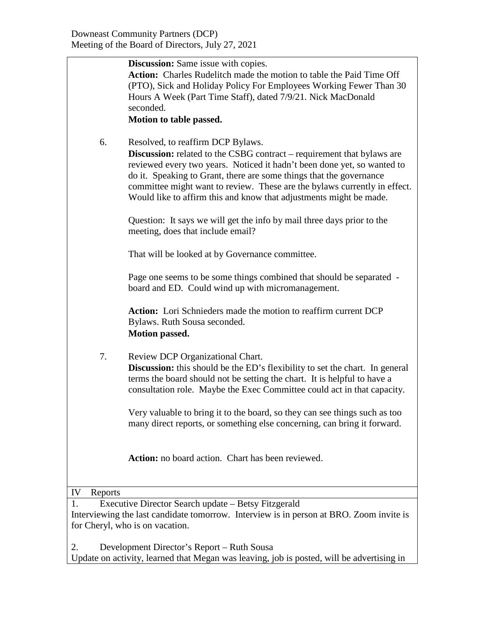|               | <b>Discussion:</b> Same issue with copies.                                                                                                                                                                                                                                                                                                                                                                       |
|---------------|------------------------------------------------------------------------------------------------------------------------------------------------------------------------------------------------------------------------------------------------------------------------------------------------------------------------------------------------------------------------------------------------------------------|
|               | <b>Action:</b> Charles Rudelitch made the motion to table the Paid Time Off<br>(PTO), Sick and Holiday Policy For Employees Working Fewer Than 30<br>Hours A Week (Part Time Staff), dated 7/9/21. Nick MacDonald<br>seconded.                                                                                                                                                                                   |
|               |                                                                                                                                                                                                                                                                                                                                                                                                                  |
|               | Motion to table passed.                                                                                                                                                                                                                                                                                                                                                                                          |
| 6.            | Resolved, to reaffirm DCP Bylaws.<br>Discussion: related to the CSBG contract - requirement that bylaws are<br>reviewed every two years. Noticed it hadn't been done yet, so wanted to<br>do it. Speaking to Grant, there are some things that the governance<br>committee might want to review. These are the bylaws currently in effect.<br>Would like to affirm this and know that adjustments might be made. |
|               | Question: It says we will get the info by mail three days prior to the<br>meeting, does that include email?                                                                                                                                                                                                                                                                                                      |
|               | That will be looked at by Governance committee.                                                                                                                                                                                                                                                                                                                                                                  |
|               | Page one seems to be some things combined that should be separated -<br>board and ED. Could wind up with micromanagement.                                                                                                                                                                                                                                                                                        |
|               | <b>Action:</b> Lori Schnieders made the motion to reaffirm current DCP<br>Bylaws. Ruth Sousa seconded.<br>Motion passed.                                                                                                                                                                                                                                                                                         |
| 7.            | Review DCP Organizational Chart.<br>Discussion: this should be the ED's flexibility to set the chart. In general<br>terms the board should not be setting the chart. It is helpful to have a<br>consultation role. Maybe the Exec Committee could act in that capacity.                                                                                                                                          |
|               | Very valuable to bring it to the board, so they can see things such as too<br>many direct reports, or something else concerning, can bring it forward.                                                                                                                                                                                                                                                           |
|               | Action: no board action. Chart has been reviewed.                                                                                                                                                                                                                                                                                                                                                                |
| IV<br>Reports |                                                                                                                                                                                                                                                                                                                                                                                                                  |
| 1.            | Executive Director Search update – Betsy Fitzgerald                                                                                                                                                                                                                                                                                                                                                              |
|               | Interviewing the last candidate tomorrow. Interview is in person at BRO. Zoom invite is                                                                                                                                                                                                                                                                                                                          |
|               | for Cheryl, who is on vacation.                                                                                                                                                                                                                                                                                                                                                                                  |

2. Development Director's Report – Ruth Sousa Update on activity, learned that Megan was leaving, job is posted, will be advertising in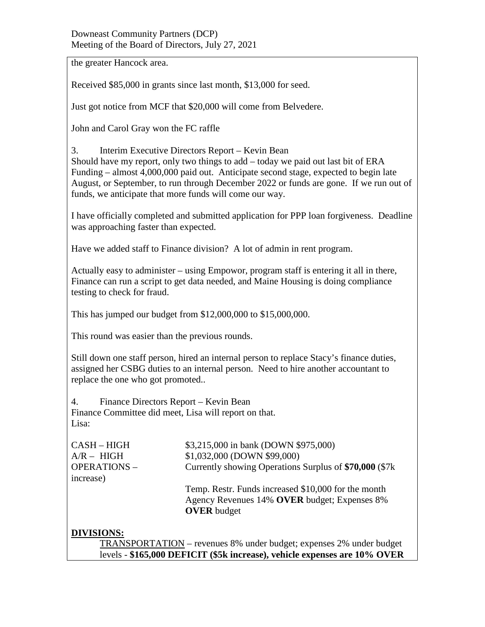## Downeast Community Partners (DCP) Meeting of the Board of Directors, July 27, 2021

the greater Hancock area.

Received \$85,000 in grants since last month, \$13,000 for seed.

Just got notice from MCF that \$20,000 will come from Belvedere.

John and Carol Gray won the FC raffle

3. Interim Executive Directors Report – Kevin Bean Should have my report, only two things to add – today we paid out last bit of ERA Funding – almost 4,000,000 paid out. Anticipate second stage, expected to begin late August, or September, to run through December 2022 or funds are gone. If we run out of funds, we anticipate that more funds will come our way.

I have officially completed and submitted application for PPP loan forgiveness. Deadline was approaching faster than expected.

Have we added staff to Finance division? A lot of admin in rent program.

Actually easy to administer – using Empowor, program staff is entering it all in there, Finance can run a script to get data needed, and Maine Housing is doing compliance testing to check for fraud.

This has jumped our budget from \$12,000,000 to \$15,000,000.

This round was easier than the previous rounds.

Still down one staff person, hired an internal person to replace Stacy's finance duties, assigned her CSBG duties to an internal person. Need to hire another accountant to replace the one who got promoted..

4. Finance Directors Report – Kevin Bean Finance Committee did meet, Lisa will report on that. Lisa:

increase)

CASH – HIGH \$3,215,000 in bank (DOWN \$975,000) A/R – HIGH \$1,032,000 (DOWN \$99,000) OPERATIONS – Currently showing Operations Surplus of **\$70,000** (\$7k

> Temp. Restr. Funds increased \$10,000 for the month Agency Revenues 14% **OVER** budget; Expenses 8% **OVER** budget

## **DIVISIONS:**

TRANSPORTATION – revenues 8% under budget; expenses 2% under budget levels - **\$165,000 DEFICIT (\$5k increase), vehicle expenses are 10% OVER**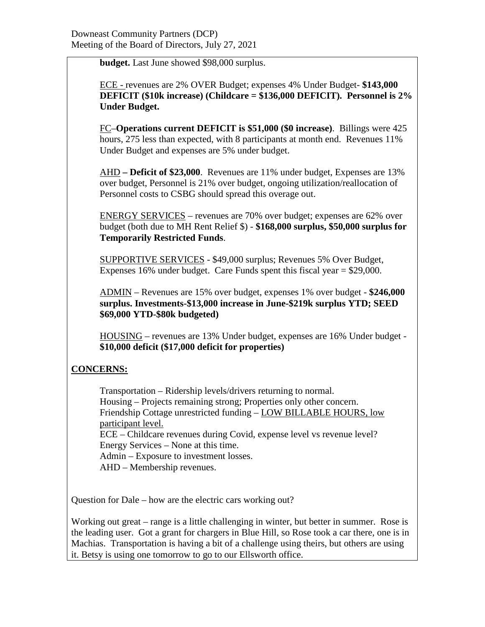**budget.** Last June showed \$98,000 surplus.

ECE - revenues are 2% OVER Budget; expenses 4% Under Budget- **\$143,000 DEFICIT (\$10k increase) (Childcare = \$136,000 DEFICIT). Personnel is 2% Under Budget.**

FC–**Operations current DEFICIT is \$51,000 (\$0 increase)**. Billings were 425 hours, 275 less than expected, with 8 participants at month end. Revenues 11% Under Budget and expenses are 5% under budget.

AHD **– Deficit of \$23,000**. Revenues are 11% under budget, Expenses are 13% over budget, Personnel is 21% over budget, ongoing utilization/reallocation of Personnel costs to CSBG should spread this overage out.

ENERGY SERVICES – revenues are 70% over budget; expenses are 62% over budget (both due to MH Rent Relief \$) - **\$168,000 surplus, \$50,000 surplus for Temporarily Restricted Funds**.

SUPPORTIVE SERVICES - \$49,000 surplus; Revenues 5% Over Budget, Expenses 16% under budget. Care Funds spent this fiscal year = \$29,000.

ADMIN – Revenues are 15% over budget, expenses 1% over budget - **\$246,000 surplus. Investments-\$13,000 increase in June-\$219k surplus YTD; SEED \$69,000 YTD-\$80k budgeted)**

HOUSING – revenues are 13% Under budget, expenses are 16% Under budget - **\$10,000 deficit (\$17,000 deficit for properties)**

## **CONCERNS:**

Transportation – Ridership levels/drivers returning to normal. Housing – Projects remaining strong; Properties only other concern. Friendship Cottage unrestricted funding – LOW BILLABLE HOURS, low participant level. ECE – Childcare revenues during Covid, expense level vs revenue level? Energy Services – None at this time. Admin – Exposure to investment losses. AHD – Membership revenues.

Question for Dale – how are the electric cars working out?

Working out great – range is a little challenging in winter, but better in summer. Rose is the leading user. Got a grant for chargers in Blue Hill, so Rose took a car there, one is in Machias. Transportation is having a bit of a challenge using theirs, but others are using it. Betsy is using one tomorrow to go to our Ellsworth office.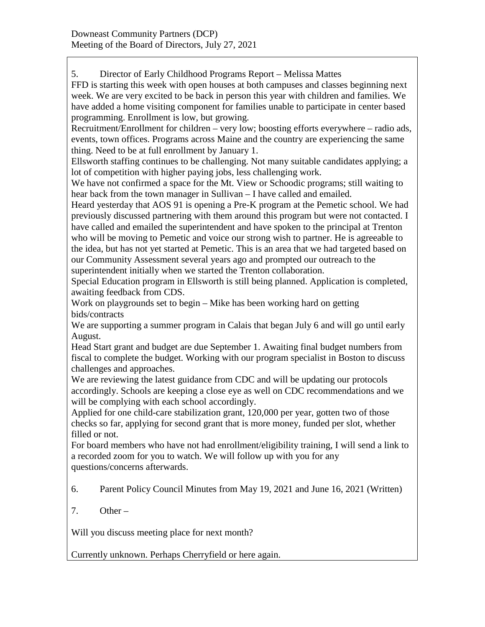5. Director of Early Childhood Programs Report – Melissa Mattes

FFD is starting this week with open houses at both campuses and classes beginning next week. We are very excited to be back in person this year with children and families. We have added a home visiting component for families unable to participate in center based programming. Enrollment is low, but growing.

Recruitment/Enrollment for children – very low; boosting efforts everywhere – radio ads, events, town offices. Programs across Maine and the country are experiencing the same thing. Need to be at full enrollment by January 1.

Ellsworth staffing continues to be challenging. Not many suitable candidates applying; a lot of competition with higher paying jobs, less challenging work.

We have not confirmed a space for the Mt. View or Schoodic programs; still waiting to hear back from the town manager in Sullivan – I have called and emailed.

Heard yesterday that AOS 91 is opening a Pre-K program at the Pemetic school. We had previously discussed partnering with them around this program but were not contacted. I have called and emailed the superintendent and have spoken to the principal at Trenton who will be moving to Pemetic and voice our strong wish to partner. He is agreeable to the idea, but has not yet started at Pemetic. This is an area that we had targeted based on our Community Assessment several years ago and prompted our outreach to the superintendent initially when we started the Trenton collaboration.

Special Education program in Ellsworth is still being planned. Application is completed, awaiting feedback from CDS.

Work on playgrounds set to begin – Mike has been working hard on getting bids/contracts

We are supporting a summer program in Calais that began July 6 and will go until early August.

Head Start grant and budget are due September 1. Awaiting final budget numbers from fiscal to complete the budget. Working with our program specialist in Boston to discuss challenges and approaches.

We are reviewing the latest guidance from CDC and will be updating our protocols accordingly. Schools are keeping a close eye as well on CDC recommendations and we will be complying with each school accordingly.

Applied for one child-care stabilization grant, 120,000 per year, gotten two of those checks so far, applying for second grant that is more money, funded per slot, whether filled or not.

For board members who have not had enrollment/eligibility training, I will send a link to a recorded zoom for you to watch. We will follow up with you for any questions/concerns afterwards.

- 6. Parent Policy Council Minutes from May 19, 2021 and June 16, 2021 (Written)
- 7. Other –

Will you discuss meeting place for next month?

Currently unknown. Perhaps Cherryfield or here again.